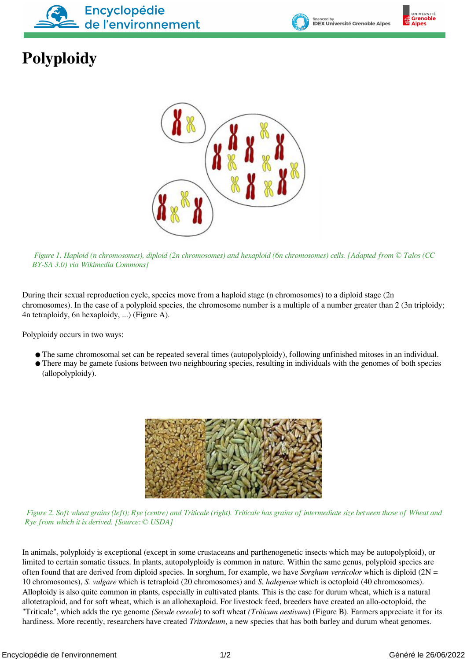



## **Polyploidy**



 *Figure 1. Haploid (n chromosomes), diploid (2n chromosomes) and hexaploid (6n chromosomes) cells. [Adapted from © Talos (CC BY-SA 3.0) via Wikimedia Commons]*

During their sexual reproduction cycle, species move from a haploid stage (n chromosomes) to a diploid stage (2n chromosomes). In the case of a polyploid species, the chromosome number is a multiple of a number greater than 2 (3n triploidy; 4n tetraploidy, 6n hexaploidy, ...) (Figure A).

Polyploidy occurs in two ways:

- The same chromosomal set can be repeated several times (autopolyploidy), following unfinished mitoses in an individual.
- There may be gamete fusions between two neighbouring species, resulting in individuals with the genomes of both species (allopolyploidy).



 *Figure 2. Soft wheat grains (left); Rye (centre) and Triticale (right). Triticale has grains of intermediate size between those of Wheat and Rye from which it is derived. [Source: © USDA]*

In animals, polyploidy is exceptional (except in some crustaceans and parthenogenetic insects which may be autopolyploid), or limited to certain somatic tissues. In plants, autopolyploidy is common in nature. Within the same genus, polyploid species are often found that are derived from diploid species. In sorghum, for example, we have *Sorghum versicolor* which is diploid (2N = 10 chromosomes), *S. vulgare* which is tetraploid (20 chromosomes) and *S. halepense* which is octoploid (40 chromosomes). Alloploidy is also quite common in plants, especially in cultivated plants. This is the case for durum wheat, which is a natural allotetraploid, and for soft wheat, which is an allohexaploid. For livestock feed, breeders have created an allo-octoploid, the "Triticale", which adds the rye genome *(Secale cereale*) to soft wheat *(Triticum aestivum*) (Figure B). Farmers appreciate it for its hardiness. More recently, researchers have created *Tritordeum*, a new species that has both barley and durum wheat genomes.